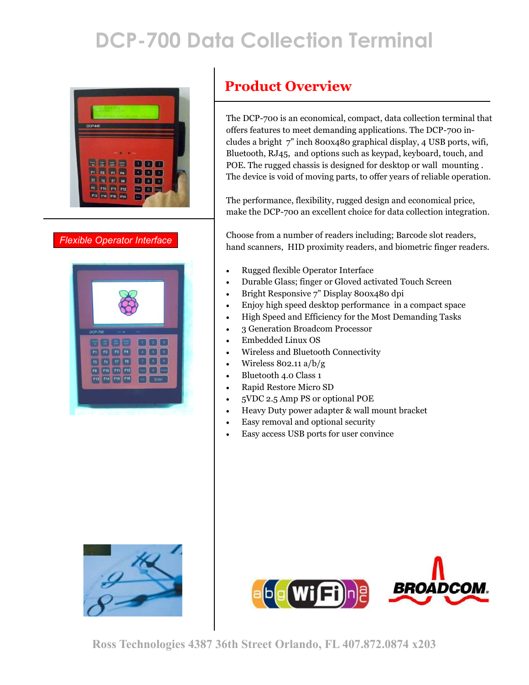# **DCP-700 Data Collection Terminal**



*Flexible Operator Interface*



#### **Product Overview**

The DCP-700 is an economical, compact, data collection terminal that offers features to meet demanding applications. The DCP-700 includes a bright 7" inch 800x480 graphical display, 4 USB ports, wifi, Bluetooth, RJ45, and options such as keypad, keyboard, touch, and POE. The rugged chassis is designed for desktop or wall mounting . The device is void of moving parts, to offer years of reliable operation.

The performance, flexibility, rugged design and economical price, make the DCP-700 an excellent choice for data collection integration.

Choose from a number of readers including; Barcode slot readers, hand scanners, HID proximity readers, and biometric finger readers.

- Rugged flexible Operator Interface
- Durable Glass; finger or Gloved activated Touch Screen
- Bright Responsive 7" Display 800x480 dpi
- Enjoy high speed desktop performance in a compact space
- High Speed and Efficiency for the Most Demanding Tasks
- 3 Generation Broadcom Processor
- Embedded Linux OS
- Wireless and Bluetooth Connectivity
- Wireless 802.11 a/b/g
- Bluetooth 4.0 Class 1
- Rapid Restore Micro SD
- 5VDC 2.5 Amp PS or optional POE
- Heavy Duty power adapter & wall mount bracket
- Easy removal and optional security
- Easy access USB ports for user convince



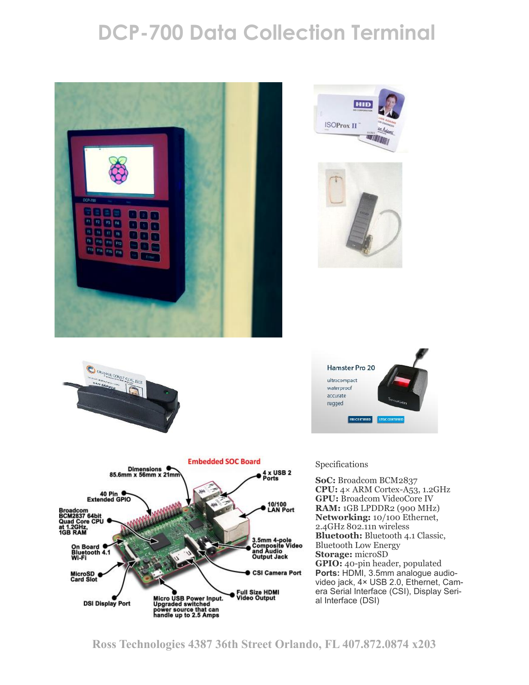## **DCP-700 Data Collection Terminal**











#### Specifications

**SoC:** Broadcom BCM2837 **CPU:** 4× ARM Cortex-A53, 1.2GHz **GPU:** Broadcom VideoCore IV **RAM:** 1GB LPDDR2 (900 MHz) **Networking:** 10/100 Ethernet, 2.4GHz 802.11n wireless **Bluetooth:** Bluetooth 4.1 Classic, Bluetooth Low Energy **Storage:** microSD **GPIO:** 40-pin header, populated **Ports:** HDMI, 3.5mm analogue audio video jack, 4× USB 2.0, Ethernet, Camera Serial Interface (CSI), Display Serial Interface (DSI)



**Ross Technologies 4387 36th Street Orlando, FL 407.872.0874 x203**